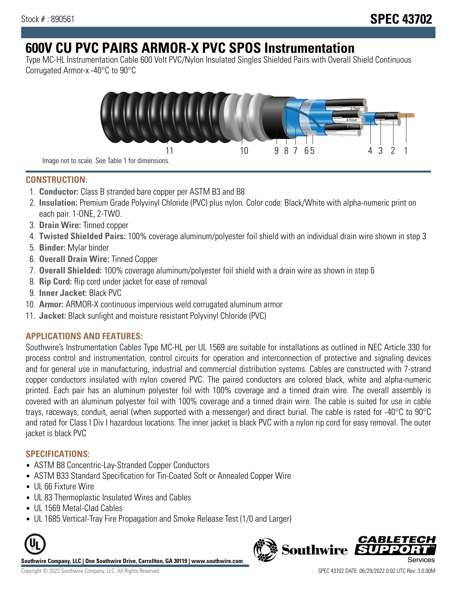# **600V CU PVC PAIRS ARMOR-X PVC SPOS Instrumentation**

Type MC-HL Instrumentation Cable 600 Volt PVC/Nylon Insulated Singles Shielded Pairs with Overall Shield Continuous Corrugated Armor-x -40°C to 90°C



**CONSTRUCTION:**

- 1. **Conductor:** Class B stranded bare copper per ASTM B3 and B8
- 2. **Insulation:** Premium Grade Polyvinyl Chloride (PVC) plus nylon. Color code: Black/White with alpha-numeric print on each pair. 1-ONE, 2-TWO.
- 3. **Drain Wire:** Tinned copper
- 4. **Twisted Shielded Pairs:** 100% coverage aluminum/polyester foil shield with an individual drain wire shown in step 3
- 5. **Binder:** Mylar binder
- 6. **Overall Drain Wire:** Tinned Copper
- 7. **Overall Shielded:** 100% coverage aluminum/polyester foil shield with a drain wire as shown in step 6
- 8. **Rip Cord:** Rip cord under jacket for ease of removal
- 9. **Inner Jacket:** Black PVC
- 10. **Armor:** ARMOR-X continuous impervious weld corrugated aluminum armor
- 11. **Jacket:** Black sunlight and moisture resistant Polyvinyl Chloride (PVC)

## **APPLICATIONS AND FEATURES:**

Southwire's Instrumentation Cables Type MC-HL per UL 1569 are suitable for installations as outlined in NEC Article 330 for process control and instrumentation, control circuits for operation and interconnection of protective and signaling devices and for general use in manufacturing, industrial and commercial distribution systems. Cables are constructed with 7-strand copper conductors insulated with nylon covered PVC. The paired conductors are colored black, white and alpha-numeric printed. Each pair has an aluminum polyester foil with 100% coverage and a tinned drain wire. The overall assembly is covered with an aluminum polyester foil with 100% coverage and a tinned drain wire. The cable is suited for use in cable trays, raceways, conduit, aerial (when supported with a messenger) and direct burial. The cable is rated for -40°C to 90°C and rated for Class I Div I hazardous locations. The inner jacket is black PVC with a nylon rip cord for easy removal. The outer jacket is black PVC

### **SPECIFICATIONS:**

- ASTM B8 Concentric-Lay-Stranded Copper Conductors
- ASTM B33 Standard Specification for Tin-Coated Soft or Annealed Copper Wire
- UL 66 Fixture Wire
- UL 83 Thermoplastic Insulated Wires and Cables
- UL 1569 Metal-Clad Cables
- UL 1685 Vertical-Tray Fire Propagation and Smoke Release Test (1/0 and Larger)



**Southwire Company, LLC | One Southwire Drive, Carrollton, GA 30119 | www.southwire.com**